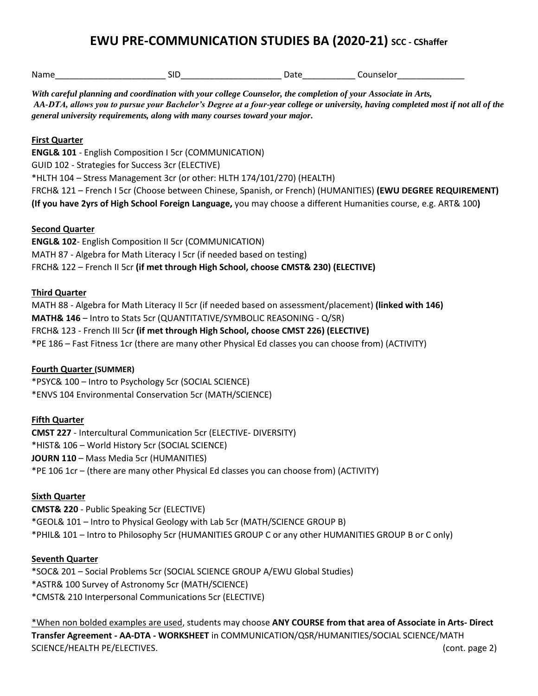## **EWU PRE-COMMUNICATION STUDIES BA (2020-21) SCC - CShaffer**

| With careful planning and coordination with your college Counselor, the completion of your Associate in Arts,<br>general university requirements, along with many courses toward your major.                                                                                                                                                                                                             |  | AA-DTA, allows you to pursue your Bachelor's Degree at a four-year college or university, having completed most if not all of the                                                                                              |  |
|----------------------------------------------------------------------------------------------------------------------------------------------------------------------------------------------------------------------------------------------------------------------------------------------------------------------------------------------------------------------------------------------------------|--|--------------------------------------------------------------------------------------------------------------------------------------------------------------------------------------------------------------------------------|--|
| <b>First Quarter</b><br><b>ENGL&amp; 101 - English Composition I 5cr (COMMUNICATION)</b><br>GUID 102 - Strategies for Success 3cr (ELECTIVE)<br>*HLTH 104 - Stress Management 3cr (or other: HLTH 174/101/270) (HEALTH)                                                                                                                                                                                  |  |                                                                                                                                                                                                                                |  |
|                                                                                                                                                                                                                                                                                                                                                                                                          |  | FRCH& 121 - French I 5cr (Choose between Chinese, Spanish, or French) (HUMANITIES) (EWU DEGREE REQUIREMENT)<br>(If you have 2yrs of High School Foreign Language, you may choose a different Humanities course, e.g. ART& 100) |  |
| <b>Second Quarter</b><br><b>ENGL&amp; 102-English Composition II 5cr (COMMUNICATION)</b><br>MATH 87 - Algebra for Math Literacy I 5cr (if needed based on testing)<br>FRCH& 122 - French II 5cr (if met through High School, choose CMST& 230) (ELECTIVE)                                                                                                                                                |  |                                                                                                                                                                                                                                |  |
| <b>Third Quarter</b><br>MATH 88 - Algebra for Math Literacy II 5cr (if needed based on assessment/placement) (linked with 146)<br>MATH& 146 - Intro to Stats 5cr (QUANTITATIVE/SYMBOLIC REASONING - Q/SR)<br>FRCH& 123 - French III 5cr (if met through High School, choose CMST 226) (ELECTIVE)<br>*PE 186 - Fast Fitness 1cr (there are many other Physical Ed classes you can choose from) (ACTIVITY) |  |                                                                                                                                                                                                                                |  |
| <b>Fourth Quarter (SUMMER)</b><br>*PSYC& 100 - Intro to Psychology 5cr (SOCIAL SCIENCE)<br>*ENVS 104 Environmental Conservation 5cr (MATH/SCIENCE)                                                                                                                                                                                                                                                       |  |                                                                                                                                                                                                                                |  |
| <b>Fifth Quarter</b><br><b>CMST 227</b> - Intercultural Communication 5cr (ELECTIVE- DIVERSITY)<br>*HIST& 106 - World History 5cr (SOCIAL SCIENCE)<br>JOURN 110 - Mass Media 5cr (HUMANITIES)<br>*PE 106 1cr - (there are many other Physical Ed classes you can choose from) (ACTIVITY)                                                                                                                 |  |                                                                                                                                                                                                                                |  |
| <b>Sixth Quarter</b><br><b>CMST&amp; 220</b> - Public Speaking 5cr (ELECTIVE)<br>*GEOL& 101 - Intro to Physical Geology with Lab 5cr (MATH/SCIENCE GROUP B)<br>*PHIL& 101 - Intro to Philosophy 5cr (HUMANITIES GROUP C or any other HUMANITIES GROUP B or C only)                                                                                                                                       |  |                                                                                                                                                                                                                                |  |
| <b>Seventh Quarter</b><br>*SOC& 201 - Social Problems 5cr (SOCIAL SCIENCE GROUP A/EWU Global Studies)<br>*ASTR& 100 Survey of Astronomy 5cr (MATH/SCIENCE)                                                                                                                                                                                                                                               |  |                                                                                                                                                                                                                                |  |

\*CMST& 210 Interpersonal Communications 5cr (ELECTIVE)

\*When non bolded examples are used, students may choose **ANY COURSE from that area of Associate in Arts- Direct Transfer Agreement - AA-DTA - WORKSHEET** in COMMUNICATION/QSR/HUMANITIES/SOCIAL SCIENCE/MATH SCIENCE/HEALTH PE/ELECTIVES. (cont. page 2)